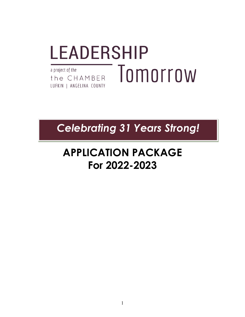# **LEADERSHIP** Tomorrow a project of the the CHAMBER LUFKIN | ANGELINA COUNTY

# *Celebrating 31 Years Strong!*

# **APPLICATION PACKAGE For 2022-2023**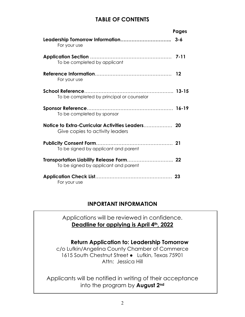### **TABLE OF CONTENTS**

|                                                                                     | <b>Pages</b> |
|-------------------------------------------------------------------------------------|--------------|
| For your use                                                                        |              |
| To be completed by applicant                                                        |              |
| For your use                                                                        |              |
| To be completed by principal or counselor                                           |              |
| To be completed by sponsor                                                          |              |
| Notice to Extra-Curricular Activities Leaders 20<br>Give copies to activity leaders |              |
| To be signed by applicant and parent                                                |              |
| To be signed by applicant and parent                                                |              |
| For your use                                                                        |              |

#### **INPORTANT INFORMATION**

Applications will be reviewed in confidence. **Deadline for applying is April 4th, 2022**

#### **Return Application to: Leadership Tomorrow**

c/o Lufkin/Angelina County Chamber of Commerce 1615 South Chestnut Street • Lufkin, Texas 75901 Attn: Jessica Hill

Applicants will be notified in writing of their acceptance into the program by **August 2nd**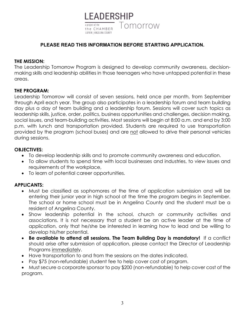

#### **PLEASE READ THIS INFORMATION BEFORE STARTING APPLICATION.**

#### **THE MISSION:**

The Leadership Tomorrow Program is designed to develop community awareness, decisionmaking skills and leadership abilities in those teenagers who have untapped potential in these areas.

#### **THE PROGRAM:**

Leadership Tomorrow will consist of seven sessions, held once per month, from September through April each year. The group also participates in a leadership forum and team building day plus a day of team building and a leadership forum. Sessions will cover such topics as leadership skills, justice, order, politics, business opportunities and challenges, decision making, social issues, and team-building activities. Most sessions will begin at 8:00 a.m. and end by 3:00 p.m. with lunch and transportation provided. Students are required to use transportation provided by the program (school buses) and are not allowed to drive their personal vehicles during sessions.

#### **OBJECTIVES:**

- To develop leadership skills and to promote community awareness and education.
- To allow students to spend time with local businesses and industries, to view issues and requirements of the workplace,
- To learn of potential career opportunities.

#### **APPLICANTS:**

- Must be classified as sophomores at the time of application submission and will be entering their junior year in high school at the time the program begins in September. The school or home school must be in Angelina County and the student must be a resident of Angelina County.
- Show leadership potential in the school, church or community activities and associations. It is not necessary that a student be an active leader at the time of application, only that he/she be interested in learning how to lead and be willing to develop his/her potential.
- **Be available to attend all sessions. The Team Building Day is mandatory!** If a conflict should arise after submission of application, please contact the Director of Leadership Programs immediately.
- Have transportation to and from the sessions on the dates indicated.
- Pay \$75 (non-refundable) student fee to help cover cost of program.

• Must secure a corporate sponsor to pay \$200 (non-refundable) to help cover cost of the program.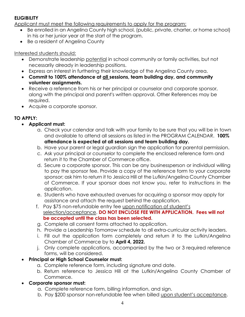#### **ELIGIBILITY**

Applicant must meet the following requirements to apply for the program:

- Be enrolled in an Angelina County high school, (public, private, charter, or home school) in his or her junior year at the start of the program.
- Be a resident of Angelina County

#### Interested students should:

- Demonstrate leadership potential in school community or family activities, but not necessarily already in leadership positions.
- Express an interest in furthering their knowledge of the Angelina County area.
- **Commit to 100% attendance at all sessions, team building day, and community volunteer assignments.**
- Receive a reference from his or her principal or counselor and corporate sponsor, along with the principal and parent's written approval. Other References may be required.
- Acquire a corporate sponsor.

#### **TO APPLY:**

- **Applicant must:**
	- a. Check your calendar and talk with your family to be sure that you will be in town and available to attend all sessions as listed in the PROGRAM CALENDAR. **100% attendance is expected at all sessions and team building day.**
	- b. Have your parent or legal guardian sign the application for parental permission.
	- c. Ask your principal or counselor to complete the enclosed reference form and return it to the Chamber of Commerce office.
	- d. Secure a corporate sponsor. This can be any businessperson or individual willing to pay the sponsor fee. Provide a copy of the reference form to your corporate sponsor; ask him to return it to Jessica Hill at the Lufkin/Angelina County Chamber of Commerce. If your sponsor does not know you, refer to instructions in the application.
	- e. Students who have exhausted avenues for acquiring a sponsor may apply for assistance and attach the request behind the application.
	- f. Pay \$75 non-refundable entry fee upon notification of student's selection/acceptance. **DO NOT ENCLOSE FEE WITH APPLICATION. Fees will not be accepted until the class has been selected.**
	- g. Complete all consent forms attached to application.
	- h. Provide a Leadership Tomorrow schedule to all extra-curricular activity leaders.
	- i. Fill out the application form completely and return it to the Lufkin/Angelina Chamber of Commerce by to **April 4, 2022.**
	- j. Only complete applications, accompanied by the two or 3 required reference forms, will be considered.

#### • **Principal or High School Counselor must:**

- a. Complete reference form, including signature and date.
- b. Return reference to Jessica Hill at the Lufkin/Angelina County Chamber of Commerce.
- **Corporate sponsor must:** 
	- a. Complete reference form, billing information, and sign.
	- b. Pay \$200 sponsor non-refundable fee when billed upon student's acceptance.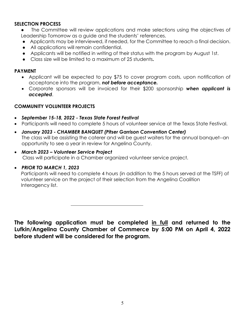#### **SELECTION PROCESS**

- The Committee will review applications and make selections using the objectives of Leadership Tomorrow as a guide and the students' references.
- Applicants may be interviewed, if needed, for the Committee to reach a final decision.
- All applications will remain confidential.
- Applicants will be notified in writing of their status with the program by August 1st.
- Class size will be limited to a maximum of 25 students**.**

#### **PAYMENT**

- Applicant will be expected to pay \$75 to cover program costs, upon notification of acceptance into the program, *not before acceptance.*
- Corporate sponsors will be invoiced for their \$200 sponsorship *when applicant is accepted*.

#### **COMMUNITY VOLUNTEER PROJECTS**

- *September 15-18, 2022 - Texas State Forest Festival*
- Participants will need to complete 5 hours of volunteer service at the Texas State Festival.
- *January 2023 - CHAMBER BANQUET (Pitser Garrison Convention Center)*  The class will be assisting the caterer and will be guest waiters for the annual banquet--an opportunity to see a year in review for Angelina County.
- *March 2023 – Volunteer Service Project* Class will participate in a Chamber organized volunteer service project.

#### • *PRIOR TO MARCH 1, 2023*

*P*articipants will need to complete 4 hours (in addition to the 5 hours served at the TSFF) of volunteer service on the project of their selection from the Angelina Coalition Interagency list.

**The following application must be completed in full and returned to the Lufkin/Angelina County Chamber of Commerce by 5:00 PM on April 4, 2022 before student will be considered for the program.**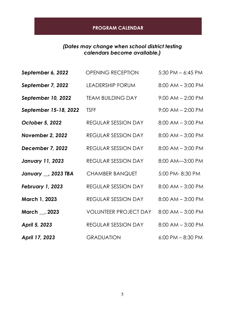#### **PROGRAM CALENDAR**

#### *(Dates may change when school district testing calendars become available.)*

| September 6, 2022         | <b>OPENING RECEPTION</b>     | $5:30$ PM $-6:45$ PM  |
|---------------------------|------------------------------|-----------------------|
| September 7, 2022         | <b>LEADERSHIP FORUM</b>      | $8:00$ AM $-3:00$ PM  |
| <b>September 10, 2022</b> | <b>TEAM BUILDING DAY</b>     | $9:00$ AM $- 2:00$ PM |
| September 15-18, 2022     | <b>TSFF</b>                  | $9:00$ AM $- 2:00$ PM |
| <b>October 5, 2022</b>    | <b>REGULAR SESSION DAY</b>   | $8:00$ AM $-3:00$ PM  |
| November 2, 2022          | <b>REGULAR SESSION DAY</b>   | $8:00$ AM $-3:00$ PM  |
| December 7, 2022          | <b>REGULAR SESSION DAY</b>   | $8:00$ AM $-3:00$ PM  |
| <b>January 11, 2023</b>   | <b>REGULAR SESSION DAY</b>   | 8:00 AM-3:00 PM       |
| January __ 2023 TBA       | <b>CHAMBER BANQUET</b>       | 5:00 PM-8:30 PM       |
| <b>February 1, 2023</b>   | <b>REGULAR SESSION DAY</b>   | $8:00$ AM $-3:00$ PM  |
| March 1, 2023             | <b>REGULAR SESSION DAY</b>   | $8:00$ AM $-3:00$ PM  |
| March __, 2023            | <b>VOLUNTEER PROJECT DAY</b> | $8:00$ AM $-3:00$ PM  |
| April 5, 2023             | <b>REGULAR SESSION DAY</b>   | $8:00$ AM $-3:00$ PM  |
| April 17, 2023            | <b>GRADUATION</b>            | $6:00$ PM $-8:30$ PM  |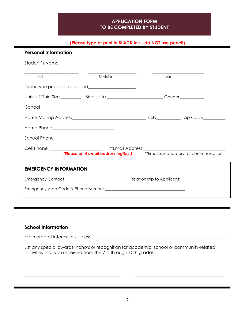#### **APPLICATION FORM TO BE COMPLETED BY STUDENT**

#### **(Please type or print in BLACK ink—do NOT use pencil)**

| <b>Personal Information</b>  |                                                                                                                                                                                                                                                                                                                                                                     |      |  |
|------------------------------|---------------------------------------------------------------------------------------------------------------------------------------------------------------------------------------------------------------------------------------------------------------------------------------------------------------------------------------------------------------------|------|--|
| Student's Name               |                                                                                                                                                                                                                                                                                                                                                                     |      |  |
| First                        | Middle                                                                                                                                                                                                                                                                                                                                                              | Last |  |
|                              |                                                                                                                                                                                                                                                                                                                                                                     |      |  |
|                              | Unisex T-Shirt Size _____________________Birth date ______________________________Gender _________________                                                                                                                                                                                                                                                          |      |  |
|                              | $\begin{picture}(20,10) \put(0,0){\vector(1,0){100}} \put(15,0){\vector(1,0){100}} \put(15,0){\vector(1,0){100}} \put(15,0){\vector(1,0){100}} \put(15,0){\vector(1,0){100}} \put(15,0){\vector(1,0){100}} \put(15,0){\vector(1,0){100}} \put(15,0){\vector(1,0){100}} \put(15,0){\vector(1,0){100}} \put(15,0){\vector(1,0){100}} \put(15,0){\vector(1,0){100}} \$ |      |  |
|                              |                                                                                                                                                                                                                                                                                                                                                                     |      |  |
|                              |                                                                                                                                                                                                                                                                                                                                                                     |      |  |
|                              | School Phone____________________________                                                                                                                                                                                                                                                                                                                            |      |  |
|                              |                                                                                                                                                                                                                                                                                                                                                                     |      |  |
|                              | (Please print email address legibly.) <b>ACCOCET ACCOMMENT</b> is mandatory for communication                                                                                                                                                                                                                                                                       |      |  |
| <b>EMERGENCY INFORMATION</b> |                                                                                                                                                                                                                                                                                                                                                                     |      |  |
|                              |                                                                                                                                                                                                                                                                                                                                                                     |      |  |
|                              |                                                                                                                                                                                                                                                                                                                                                                     |      |  |
|                              |                                                                                                                                                                                                                                                                                                                                                                     |      |  |

#### **School Information**

Main area of interest in studies: \_\_\_\_\_\_\_\_\_\_\_\_\_\_\_\_\_\_\_\_\_\_\_\_\_\_\_\_\_\_\_\_\_\_\_\_\_\_\_\_\_\_\_\_\_\_\_\_\_\_\_\_\_\_\_\_\_\_\_\_\_\_\_\_\_\_\_\_\_

\_\_\_\_\_\_\_\_\_\_\_\_\_\_\_\_\_\_\_\_\_\_\_\_\_\_\_\_\_\_\_\_\_\_\_\_\_\_\_\_\_\_\_

\_\_\_\_\_\_\_\_\_\_\_\_\_\_\_\_\_\_\_\_\_\_\_\_\_\_\_\_\_\_\_\_\_\_\_\_\_\_\_\_\_\_\_

\_\_\_\_\_\_\_\_\_\_\_\_\_\_\_\_\_\_\_\_\_\_\_\_\_\_\_\_\_\_\_\_\_\_\_\_\_\_\_\_\_\_\_

List any special awards, honors or recognition for academic, school or community-related activities that you received from the 7th through 10th grades.

\_\_\_\_\_\_\_\_\_\_\_\_\_\_\_\_\_\_\_\_\_\_\_\_\_\_\_\_\_\_\_\_\_\_\_\_\_\_\_\_\_\_\_

\_\_\_\_\_\_\_\_\_\_\_\_\_\_\_\_\_\_\_\_\_\_\_\_\_\_\_\_\_\_\_\_\_\_\_\_\_\_\_\_\_\_\_

\_\_\_\_\_\_\_\_\_\_\_\_\_\_\_\_\_\_\_\_\_\_\_\_\_\_\_\_\_\_\_\_\_\_\_\_\_\_\_\_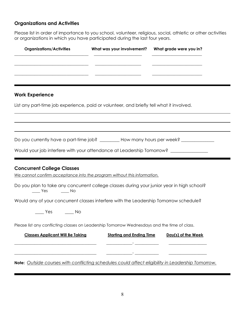#### **Organizations and Activities**

Please list in order of importance to you school, volunteer, religious, social, athletic or other activities or organizations in which you have participated during the last four years.

| <b>Organizations/Activities</b> | What was your involvement? | What grade were you in? |
|---------------------------------|----------------------------|-------------------------|
|                                 |                            |                         |
|                                 |                            |                         |
|                                 |                            |                         |

#### **Work Experience**

List any part-time job experience, paid or volunteer, and briefly tell what it involved.

Do you currently have a part-time job? \_\_\_\_\_\_\_\_\_ How many hours per week? \_\_\_\_\_\_\_\_\_\_\_\_

Would your job interfere with your attendance at Leadership Tomorrow? \_\_\_\_\_\_\_\_\_\_

#### **Concurrent College Classes**

*We cannot confirm acceptance into the program without this information.* 

Do you plan to take any concurrent college classes during your junior year in high school? \_\_\_\_ Yes \_\_\_\_ No

Would any of your concurrent classes interfere with the Leadership Tomorrow schedule?

| Yes | Νo |
|-----|----|
|-----|----|

Please list any conflicting classes on Leadership Tomorrow Wednesdays and the time of class.

| <b>Classes Applicant Will Be Taking</b>                                                           | <b>Starting and Ending Time</b> | Day(s) of the Week |
|---------------------------------------------------------------------------------------------------|---------------------------------|--------------------|
|                                                                                                   |                                 |                    |
|                                                                                                   |                                 |                    |
| Note: Outside courses with conflicting schedules could affect eligibility in Leadership Tomorrow. |                                 |                    |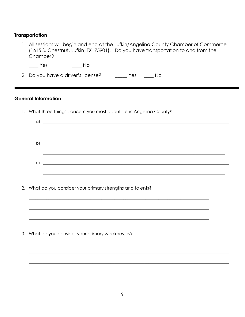#### **Transportation**

1. All sessions will begin and end at the Lufkin/Angelina County Chamber of Commerce (1615 S. Chestnut, Lufkin, TX 75901). Do you have transportation to and from the Chamber?

 $\frac{1}{1}$  Yes  $\frac{1}{2}$ No

2. Do you have a driver's license? \_\_\_\_\_\_\_\_ Yes \_\_\_\_\_\_ No

#### **General Information**

1. What three things concern you most about life in Angelina County?

2. What do you consider your primary strengths and talents?

3. What do you consider your primary weaknesses?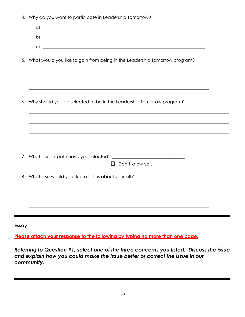|  |  |  |  |  |  | 4. Why do you want to participate in Leadership Tomorrow? |  |
|--|--|--|--|--|--|-----------------------------------------------------------|--|
|--|--|--|--|--|--|-----------------------------------------------------------|--|

|    | $\alpha$<br><u> 1989 - Johann Barn, mars ann an Cathracha ann an t-Aonaichte ann an t-Aonaichte ann an t-Aonaichte ann an t-A</u> |
|----|-----------------------------------------------------------------------------------------------------------------------------------|
|    | b)<br><u> 1989 - Johann Stoff, deutscher Stoff, der Stoff, der Stoff, der Stoff, der Stoff, der Stoff, der Stoff, der S</u>       |
|    | $\vert$ C)<br><u> 1989 - Jan Samuel Barbara, margaret eta biztanleria (h. 1989).</u>                                              |
|    |                                                                                                                                   |
| 5. | What would you like to gain from being in the Leadership Tomorrow program?                                                        |
|    |                                                                                                                                   |
|    |                                                                                                                                   |
|    | ,我们也不能在这里的人,我们也不能在这里的人,我们也不能在这里的人,我们也不能在这里的人,我们也不能在这里的人,我们也不能在这里的人,我们也不能在这里的人,我们也                                                 |
|    |                                                                                                                                   |
| 6. | Why should you be selected to be in the Leadership Tomorrow program?                                                              |
|    |                                                                                                                                   |
|    |                                                                                                                                   |
|    |                                                                                                                                   |
|    |                                                                                                                                   |
|    | <u> 1989 - Johann Harry Harry Harry Harry Harry Harry Harry Harry Harry Harry Harry Harry Harry Harry Harry Harry</u>             |
|    |                                                                                                                                   |
|    | Don't know yet.<br>$\Box$                                                                                                         |
|    |                                                                                                                                   |
|    | 8. What else would you like to tell us about yourself?                                                                            |
|    |                                                                                                                                   |
|    |                                                                                                                                   |
|    |                                                                                                                                   |
|    |                                                                                                                                   |

Essay

Please attach your response to the following by typing no more than one page.

Referring to Question #1, select one of the three concerns you listed. Discuss the issue and explain how you could make the issue better or correct the issue in our community.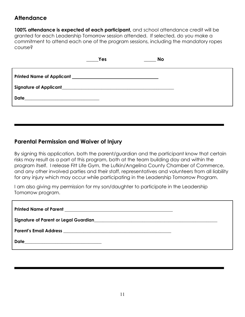### **Attendance**

**100% attendance is expected of each participant,** and school attendance credit will be granted for each Leadership Tomorrow session attended. If selected, do you make a commitment to attend each one of the program sessions, including the mandatory ropes course?

|      | Yes | <b>No</b> |
|------|-----|-----------|
|      |     |           |
|      |     |           |
| Date |     |           |

#### **Parental Permission and Waiver of Injury**

By signing this application, both the parent/guardian and the participant know that certain risks may result as a part of this program, both at the team building day and within the program itself. I release Fitt Life Gym, the Lufkin/Angelina County Chamber of Commerce, and any other involved parties and their staff, representatives and volunteers from all liability for any injury which may occur while participating in the Leadership Tomorrow Program.

I am also giving my permission for my son/daughter to participate in the Leadership Tomorrow program.

| Date___________________________________ |  |
|-----------------------------------------|--|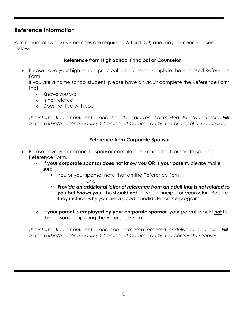#### **Reference Information**

A minimum of two (2) References are required. A third (3rd) one may be needed. See below.

#### **Reference from High School Principal or Counselor**

• Please have your high school principal or counselor complete the enclosed Reference Form.

If you are a home school student, please have an adult complete the Reference Form that:

- o Knows you well
- o Is not related
- o Does not live with you

*This information is confidential and should be delivered or mailed directly to Jessica Hill at the Lufkin/Angelina County Chamber of Commerce by the principal or counselor.*

#### **Reference from Corporate Sponsor**

- Please have your corporate sponsor complete the enclosed Corporate Sponsor Reference Form.
	- o **If your corporate sponsor does not know you OR is your parent**, please make sure
		- You or your sponsor note that on the Reference Form and
		- *Provide an additional letter of reference from an adult that is not related to you but knows you.* This should **not** be your principal or counselor. Be sure they include why you are a good candidate for the program.
	- o **If your parent is employed by your corporate sponsor**, your parent should **not** be the person completing the Reference Form.

*This information is confidential and can be mailed, emailed, or delivered to Jessica Hill at the Lufkin/Angelina County Chamber of Commerce by the corporate sponsor.*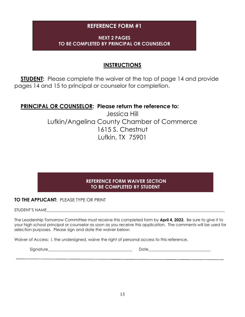#### **REFERENCE FORM #1**

#### **NEXT 2 PAGES TO BE COMPLETED BY PRINCIPAL OR COUNSELOR**

### **INSTRUCTIONS**

 **STUDENT:** Please complete the waiver at the top of page 14 and provide pages 14 and 15 to principal or counselor for completion.

#### **PRINCIPAL OR COUNSELOR: Please return the reference to:**

Jessica Hill Lufkin/Angelina County Chamber of Commerce 1615 S. Chestnut Lufkin, TX 75901

#### **REFERENCE FORM WAIVER SECTION TO BE COMPLETED BY STUDENT**

#### **TO THE APPLICANT: PLEASE TYPE OR PRINT**

STUDENT'S NAME

The Leadership Tomorrow Committee must receive this completed form by **April 4, 2022.** Be sure to give it to your high school principal or counselor as soon as you receive this application. The comments will be used for selection purposes. Please sign and date the waiver below:

Waiver of Access: I, the undersigned, waive the right of personal access to this reference.

Signature **Example 20** and the set of the set of the set of the Date of the Second Second Second Second Second Second Second Second Second Second Second Second Second Second Second Second Second Second Second Second Second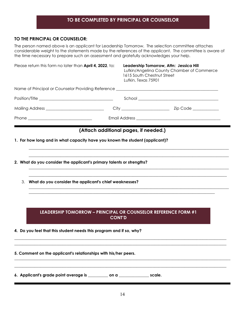#### **TO BE COMPLETED BY PRINCIPAL OR COUNSELOR**

#### **TO THE PRINCIPAL OR COUNSELOR:**

The person named above is an applicant for Leadership Tomorrow. The selection committee attaches considerable weight to the statements made by the references of the applicant. The committee is aware of the time necessary to prepare such an assessment and gratefully acknowledges your help.

| Please return this form no later than <b>April 4, 2022</b> , to:             | Lufkin, Texas 75901                   | Leadership Tomorrow, Attn: Jessica Hill<br>Lufkin/Angelina County Chamber of Commerce<br>1615 South Chestnut Street                                                                                                                                                                                                                                                 |
|------------------------------------------------------------------------------|---------------------------------------|---------------------------------------------------------------------------------------------------------------------------------------------------------------------------------------------------------------------------------------------------------------------------------------------------------------------------------------------------------------------|
|                                                                              |                                       |                                                                                                                                                                                                                                                                                                                                                                     |
|                                                                              |                                       | $\begin{picture}(20,10) \put(0,0){\vector(1,0){100}} \put(15,0){\vector(1,0){100}} \put(15,0){\vector(1,0){100}} \put(15,0){\vector(1,0){100}} \put(15,0){\vector(1,0){100}} \put(15,0){\vector(1,0){100}} \put(15,0){\vector(1,0){100}} \put(15,0){\vector(1,0){100}} \put(15,0){\vector(1,0){100}} \put(15,0){\vector(1,0){100}} \put(15,0){\vector(1,0){100}} \$ |
|                                                                              |                                       |                                                                                                                                                                                                                                                                                                                                                                     |
|                                                                              |                                       |                                                                                                                                                                                                                                                                                                                                                                     |
| 1. For how long and in what capacity have you known the student (applicant)? | (Attach additional pages, if needed.) |                                                                                                                                                                                                                                                                                                                                                                     |
| 2. What do you consider the applicant's primary talents or strengths?        |                                       |                                                                                                                                                                                                                                                                                                                                                                     |

3. **What do you consider the applicant's chief weaknesses?**

#### **LEADERSHIP TOMORROW – PRINCIPAL OR COUNSELOR REFERENCE FORM #1 CONT'D**

\_\_\_\_\_\_\_\_\_\_\_\_\_\_\_\_\_\_\_\_\_\_\_\_\_\_\_\_\_\_\_\_\_\_\_\_\_\_\_\_\_\_\_\_\_\_\_\_\_\_\_\_\_\_\_\_\_\_\_\_\_\_\_\_\_\_\_\_\_\_\_\_\_\_\_\_\_\_\_\_\_\_\_\_\_\_\_\_\_\_\_\_\_\_\_\_\_\_\_\_\_\_\_\_\_\_ \_\_\_\_\_\_\_\_\_\_\_\_\_\_\_\_\_\_\_\_\_\_\_\_\_\_\_\_\_\_\_\_\_\_\_\_\_\_\_\_\_\_\_\_\_\_\_\_\_\_\_\_\_\_\_\_\_\_\_\_\_\_\_\_\_\_\_\_\_\_\_\_\_\_\_\_\_\_\_\_\_\_\_\_\_\_\_\_\_\_\_\_\_\_\_\_\_\_\_\_\_\_\_\_\_\_

 $\_$  , and the set of the set of the set of the set of the set of the set of the set of the set of the set of the set of the set of the set of the set of the set of the set of the set of the set of the set of the set of th  $\_$  , and the set of the set of the set of the set of the set of the set of the set of the set of the set of the set of the set of the set of the set of the set of the set of the set of the set of the set of the set of th

\_\_\_\_\_\_\_\_\_\_\_\_\_\_\_\_\_\_\_\_\_\_\_\_\_\_\_\_\_\_\_\_\_\_\_\_\_\_\_\_\_\_\_\_\_\_\_\_\_\_\_\_\_\_\_\_\_\_\_\_\_\_\_\_\_\_\_\_\_\_\_\_\_\_\_\_\_\_\_\_\_\_\_\_\_\_\_\_\_\_\_\_\_\_\_\_\_\_\_\_

 $\mathcal{L}_\mathcal{L} = \{ \mathcal{L}_\mathcal{L} = \{ \mathcal{L}_\mathcal{L} = \{ \mathcal{L}_\mathcal{L} = \{ \mathcal{L}_\mathcal{L} = \{ \mathcal{L}_\mathcal{L} = \{ \mathcal{L}_\mathcal{L} = \{ \mathcal{L}_\mathcal{L} = \{ \mathcal{L}_\mathcal{L} = \{ \mathcal{L}_\mathcal{L} = \{ \mathcal{L}_\mathcal{L} = \{ \mathcal{L}_\mathcal{L} = \{ \mathcal{L}_\mathcal{L} = \{ \mathcal{L}_\mathcal{L} = \{ \mathcal{L}_\mathcal{$ 

- **4. Do you feel that this student needs this program and if so, why?**
- **5. Comment on the applicant's relationships with his/her peers.**

**6. Applicant's grade point average is \_\_\_\_\_\_\_\_\_\_ on a \_\_\_\_\_\_\_\_\_\_\_\_\_\_\_ scale.**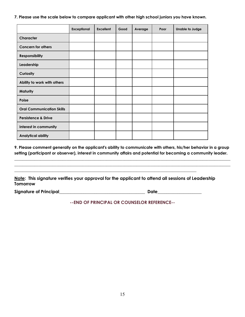**7. Please use the scale below to compare applicant with other high school juniors you have known.**

|                                  | <b>Exceptional</b> | <b>Excellent</b> | Good | Average | Poor | <b>Unable to Judge</b> |
|----------------------------------|--------------------|------------------|------|---------|------|------------------------|
| Character                        |                    |                  |      |         |      |                        |
| <b>Concern for others</b>        |                    |                  |      |         |      |                        |
| <b>Responsibility</b>            |                    |                  |      |         |      |                        |
| Leadership                       |                    |                  |      |         |      |                        |
| Curiosity                        |                    |                  |      |         |      |                        |
| Ability to work with others      |                    |                  |      |         |      |                        |
| Maturity                         |                    |                  |      |         |      |                        |
| Poise                            |                    |                  |      |         |      |                        |
| <b>Oral Communication Skills</b> |                    |                  |      |         |      |                        |
| <b>Persistence &amp; Drive</b>   |                    |                  |      |         |      |                        |
| Interest in community            |                    |                  |      |         |      |                        |
| <b>Analytical ability</b>        |                    |                  |      |         |      |                        |

**9. Please comment generally on the applicant's ability to communicate with others, his/her behavior in a group setting (participant or observer), interest in community affairs and potential for becoming a community leader.**

\_\_\_\_\_\_\_\_\_\_\_\_\_\_\_\_\_\_\_\_\_\_\_\_\_\_\_\_\_\_\_\_\_\_\_\_\_\_\_\_\_\_\_\_\_\_\_\_\_\_\_\_\_\_\_\_\_\_\_\_\_\_\_\_\_\_\_\_\_\_\_\_\_\_\_\_\_\_\_\_\_\_\_\_\_\_\_\_\_\_\_\_\_\_\_\_\_\_\_\_\_\_\_\_\_\_\_\_ \_\_\_\_\_\_\_\_\_\_\_\_\_\_\_\_\_\_\_\_\_\_\_\_\_\_\_\_\_\_\_\_\_\_\_\_\_\_\_\_\_\_\_\_\_\_\_\_\_\_\_\_\_\_\_\_\_\_\_\_\_\_\_\_\_\_\_\_\_\_\_\_\_\_\_\_\_\_\_\_\_\_\_\_\_\_\_\_\_\_\_\_\_\_\_\_\_\_\_\_\_\_\_\_\_\_\_\_

**Note: This signature verifies your approval for the applicant to attend all sessions of Leadership Tomorrow**

 $\mathcal{L}_\mathcal{L} = \mathcal{L}_\mathcal{L} = \mathcal{L}_\mathcal{L} = \mathcal{L}_\mathcal{L} = \mathcal{L}_\mathcal{L} = \mathcal{L}_\mathcal{L} = \mathcal{L}_\mathcal{L} = \mathcal{L}_\mathcal{L} = \mathcal{L}_\mathcal{L} = \mathcal{L}_\mathcal{L} = \mathcal{L}_\mathcal{L} = \mathcal{L}_\mathcal{L} = \mathcal{L}_\mathcal{L} = \mathcal{L}_\mathcal{L} = \mathcal{L}_\mathcal{L} = \mathcal{L}_\mathcal{L} = \mathcal{L}_\mathcal{L}$ 

**Signature of Principal**\_\_\_\_\_\_\_\_\_\_\_\_\_\_\_\_\_\_\_\_\_\_\_\_\_\_\_\_\_\_\_\_\_\_\_\_\_\_\_ **Date**\_\_\_\_\_\_\_\_\_\_\_\_\_\_\_\_\_\_\_\_

**--END OF PRINCIPAL OR COUNSELOR REFERENCE--**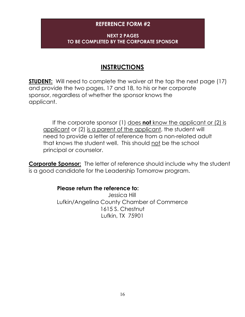#### **REFERENCE FORM #2**

#### **NEXT 2 PAGES TO BE COMPLETED BY THE CORPORATE SPONSOR**

## **INSTRUCTIONS**

**STUDENT:** Will need to complete the waiver at the top the next page (17) and provide the two pages, 17 and 18, to his or her corporate sponsor, regardless of whether the sponsor knows the applicant.

 If the corporate sponsor (1) does **not** know the applicant or (2) is applicant or (2) is a parent of the applicant, the student will need to provide a letter of reference from a non-related adult that knows the student well. This should not be the school principal or counselor.

**Corporate Sponsor:** The letter of reference should include why the student is a good candidate for the Leadership Tomorrow program.

#### **Please return the reference to:**

Jessica Hill Lufkin/Angelina County Chamber of Commerce 1615 S. Chestnut Lufkin, TX 75901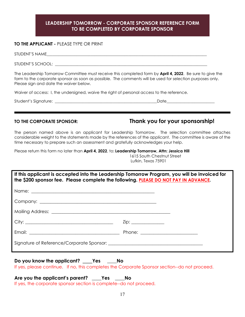#### **LEADERSHIP TOMORROW - CORPORATE SPONSOR REFERENCE FORM TO BE COMPLETED BY CORPORATE SPONSOR**

#### **TO THE APPLICANT -** PLEASE TYPE OR PRINT

| STUDENT'S NAME    |  |  |  |
|-------------------|--|--|--|
| STUDENT'S SCHOOL: |  |  |  |

The Leadership Tomorrow Committee must receive this completed form by **April 4, 2022**. Be sure to give the form to the corporate sponsor as soon as possible. The comments will be used for selection purposes only. Please sign and date the waiver below.

Waiver of access: I, the undersigned, waive the right of personal access to the reference.

Student's Signature: \_\_\_\_\_\_\_\_\_\_\_\_\_\_\_\_\_\_\_\_\_\_\_\_\_\_\_\_\_\_\_\_\_\_\_\_\_\_\_\_\_\_\_\_\_\_\_\_\_\_\_Date\_\_\_\_\_\_\_\_\_\_\_\_\_\_\_\_\_\_\_\_\_\_\_\_

#### **TO THE CORPORATE SPONSOR: Thank you for your sponsorship!**

The person named above is an applicant for Leadership Tomorrow. The selection committee attaches considerable weight to the statements made by the references of the applicant. The committee is aware of the time necessary to prepare such an assessment and gratefully acknowledges your help.

Please return this form no later than **April 4, 2022**, to: **Leadership Tomorrow, Attn: Jessica Hill** 1615 South Chestnut Street Lufkin, Texas 75901

| the \$200 sponsor fee. Please complete the following. PLEASE DO NOT PAY IN ADVANCE. | If this applicant is accepted into the Leadership Tomorrow Program, you will be invoiced for |
|-------------------------------------------------------------------------------------|----------------------------------------------------------------------------------------------|
|                                                                                     |                                                                                              |
|                                                                                     |                                                                                              |
|                                                                                     |                                                                                              |
|                                                                                     | $\mathsf{Zip:}\_\_\_\_\_\_\_\_\_\_\_\_\_\_\_\_\_\_\_\_\_\_\_\_\_\_\_$                        |
|                                                                                     |                                                                                              |
|                                                                                     |                                                                                              |

**Do you know the applicant? \_\_\_Yes \_\_\_\_No**  If yes, please continue. If no, this completes the Corporate Sponsor section--do not proceed.

**Are you the applicant's parent? \_\_\_\_Yes \_\_\_\_No** 

If yes, the corporate sponsor section is complete--do not proceed.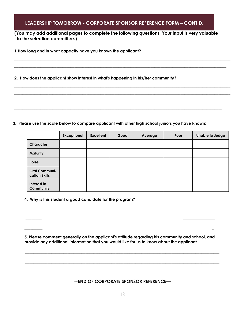#### **LEADERSHIP TOMORROW - CORPORATE SPONSOR REFERENCE FORM – CONT'D.**

**(You may add additional pages to complete the following questions. Your input is very valuable to the selection committee.)**

\_\_\_\_\_\_\_\_\_\_\_\_\_\_\_\_\_\_\_\_\_\_\_\_\_\_\_\_\_\_\_\_\_\_\_\_\_\_\_\_\_\_\_\_\_\_\_\_\_\_\_\_\_\_\_\_\_\_\_\_\_\_\_\_\_\_\_\_\_\_\_\_\_\_\_\_\_\_\_\_\_\_\_\_\_\_\_\_\_\_\_\_\_\_\_\_\_\_\_\_\_\_\_\_\_\_\_\_ \_\_\_\_\_\_\_\_\_\_\_\_\_\_\_\_\_\_\_\_\_\_\_\_\_\_\_\_\_\_\_\_\_\_\_\_\_\_\_\_\_\_\_\_\_\_\_\_\_\_\_\_\_\_\_\_\_\_\_\_\_\_\_\_\_\_\_\_\_\_\_\_\_\_\_\_\_\_\_\_\_\_\_\_\_\_\_\_\_\_\_\_\_\_\_\_\_\_\_\_\_\_\_\_\_\_

 $\_$  , and the set of the set of the set of the set of the set of the set of the set of the set of the set of the set of the set of the set of the set of the set of the set of the set of the set of the set of the set of th  $\_$  , and the set of the set of the set of the set of the set of the set of the set of the set of the set of the set of the set of the set of the set of the set of the set of the set of the set of the set of the set of th  $\_$  , and the set of the set of the set of the set of the set of the set of the set of the set of the set of the set of the set of the set of the set of the set of the set of the set of the set of the set of the set of th

 $\_$  , and the set of the set of the set of the set of the set of the set of the set of the set of the set of the set of the set of the set of the set of the set of the set of the set of the set of the set of the set of th

**1.How long and in what capacity have you known the applicant?** \_\_\_\_\_\_\_\_\_\_\_\_\_\_\_\_\_\_\_\_\_\_\_\_\_\_\_\_\_\_\_\_\_\_\_\_\_\_\_\_\_\_

**2**. **How does the applicant show interest in what's happening in his/her community?**

**3. Please use the scale below to compare applicant with other high school juniors you have known:**

|                                       | <b>Exceptional</b> | <b>Excellent</b> | Good | Average | Poor | <b>Unable to Judge</b> |
|---------------------------------------|--------------------|------------------|------|---------|------|------------------------|
| Character                             |                    |                  |      |         |      |                        |
| <b>Maturity</b>                       |                    |                  |      |         |      |                        |
| Poise                                 |                    |                  |      |         |      |                        |
| <b>Oral Communi-</b><br>cation Skills |                    |                  |      |         |      |                        |
| Interest in<br>Community              |                    |                  |      |         |      |                        |

**4. Why is this student a good candidate for the program?** 

**5. Please comment generally on the applicant's attitude regarding his community and school, and provide any additional information that you would like for us to know about the applicant.** 

**\_\_\_\_\_\_\_\_\_\_\_\_\_\_\_\_\_\_\_\_\_\_\_\_\_\_\_\_\_\_\_\_\_\_\_\_\_\_\_\_\_\_\_\_\_\_\_\_\_\_\_\_\_\_\_\_\_\_\_\_\_\_\_\_\_\_\_\_\_\_\_\_\_\_\_\_\_\_\_\_\_\_\_\_\_\_\_\_\_\_\_\_\_\_\_\_\_**

**\_\_\_\_\_\_\_\_\_\_\_\_\_\_\_\_\_\_\_\_\_\_\_\_\_\_\_\_\_\_\_\_\_\_\_\_\_\_\_\_\_\_\_\_\_\_\_\_\_\_\_\_\_\_\_\_\_\_\_\_\_\_\_\_\_\_\_\_\_\_\_\_\_\_\_\_\_\_\_\_\_\_\_\_\_\_\_\_\_\_\_\_\_\_\_\_\_**

 $\mathcal{L}_\text{max}$  , and the set of the set of the set of the set of the set of the set of the set of the set of the set of the set of the set of the set of the set of the set of the set of the set of the set of the set of the

 $\mathcal{L}_\mathcal{L} = \{ \mathcal{L}_\mathcal{L} = \{ \mathcal{L}_\mathcal{L} = \{ \mathcal{L}_\mathcal{L} = \{ \mathcal{L}_\mathcal{L} = \{ \mathcal{L}_\mathcal{L} = \{ \mathcal{L}_\mathcal{L} = \{ \mathcal{L}_\mathcal{L} = \{ \mathcal{L}_\mathcal{L} = \{ \mathcal{L}_\mathcal{L} = \{ \mathcal{L}_\mathcal{L} = \{ \mathcal{L}_\mathcal{L} = \{ \mathcal{L}_\mathcal{L} = \{ \mathcal{L}_\mathcal{L} = \{ \mathcal{L}_\mathcal{$ 

 $\overline{\phantom{a}}$  , and the set of the set of the set of the set of the set of the set of the set of the set of the set of the set of the set of the set of the set of the set of the set of the set of the set of the set of the s

#### **--END OF CORPORATE SPONSOR REFERENCE—**

**\_\_\_\_\_\_\_\_\_\_\_\_\_\_\_\_\_\_\_\_\_\_\_\_\_\_\_\_\_\_\_\_\_\_\_\_\_\_\_\_\_\_\_\_\_\_\_\_\_\_\_\_\_\_\_\_\_\_\_\_\_\_\_\_\_\_\_\_\_\_\_\_\_\_\_\_\_\_\_\_\_\_\_\_\_\_\_\_\_\_\_\_\_\_\_\_**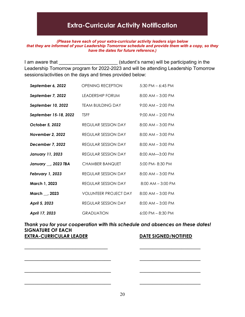# **Extra-Curricular Activity Notification**

#### *(Please have each of your extra-curricular activity leaders sign below that they are informed of your Leadership Tomorrow schedule and provide them with a copy, so they have the dates for future reference.)*

I am aware that **I** am aware that **I** am aware that  $\overline{a}$  (student's name) will be participating in the Leadership Tomorrow program for 2022-2023 and will be attending Leadership Tomorrow sessions/activities on the days and times provided below:

| September 6, 2022       | <b>OPENING RECEPTION</b>     | $5:30$ PM $-6:45$ PM  |
|-------------------------|------------------------------|-----------------------|
| September 7, 2022       | LEADERSHIP FORUM             | $8:00$ AM $-3:00$ PM  |
| September 10, 2022      | <b>TEAM BUILDING DAY</b>     | $9:00$ AM $- 2:00$ PM |
| September 15-18, 2022   | <b>TSFF</b>                  | $9:00$ AM $- 2:00$ PM |
| October 5, 2022         | REGULAR SESSION DAY          | $8:00$ AM $-3:00$ PM  |
| November 2, 2022        | REGULAR SESSION DAY          | $8:00$ AM $-3:00$ PM  |
| December 7, 2022        | REGULAR SESSION DAY          | $8:00$ AM $-3:00$ PM  |
| <b>January 11, 2023</b> | REGULAR SESSION DAY          | 8:00 AM-3:00 PM       |
| January __ 2023 TBA     | <b>CHAMBER BANQUET</b>       | $5:00$ PM- $8:30$ PM  |
| February 1, 2023        | REGULAR SESSION DAY          | $8:00$ AM $-3:00$ PM  |
| March 1, 2023           | REGULAR SESSION DAY          | $8:00$ AM $-3:00$ PM  |
| March __, 2023          | <b>VOLUNTEER PROJECT DAY</b> | $8:00$ AM $-3:00$ PM  |
| April 5, 2023           | REGULAR SESSION DAY          | $8:00$ AM $-3:00$ PM  |
| April 17, 2023          | <b>GRADUATION</b>            | $6:00$ PM $- 8:30$ PM |

*Thank you for your cooperation with this schedule and absences on these dates!* **SIGNATURE OF EACH EXTRA-CURRICULAR LEADER DATE SIGNED/NOTIFIED** 

 $\overline{\phantom{a}}$  , and the contract of the contract of the contract of the contract of the contract of the contract of the contract of the contract of the contract of the contract of the contract of the contract of the contrac

\_\_\_\_\_\_\_\_\_\_\_\_\_\_\_\_\_\_\_\_\_\_\_\_\_\_\_ \_\_\_\_\_\_\_\_\_\_\_\_\_\_\_\_\_\_\_

\_\_\_\_\_\_\_\_\_\_\_\_\_\_\_\_\_\_\_\_\_\_\_\_\_\_\_ \_\_\_\_\_\_\_\_\_\_\_\_\_\_\_\_\_\_\_

\_\_\_\_\_\_\_\_\_\_\_\_\_\_\_\_\_\_\_\_\_\_\_\_\_\_\_ \_\_\_\_\_\_\_\_\_\_\_\_\_\_\_\_\_\_\_

20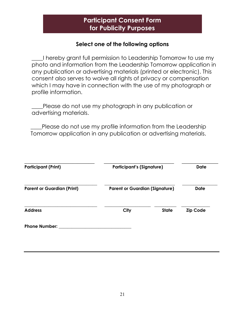# **Participant Consent Form for Publicity Purposes**

#### **Select one of the following options**

I hereby grant full permission to Leadership Tomorrow to use my photo and information from the Leadership Tomorrow application in any publication or advertising materials (printed or electronic). This consent also serves to waive all rights of privacy or compensation which I may have in connection with the use of my photograph or profile information.

\_\_\_\_Please do not use my photograph in any publication or advertising materials.

Please do not use my profile information from the Leadership Tomorrow application in any publication or advertising materials.

| <b>Participant (Print)</b>        | <b>Participant's (Signature)</b>      |              | <b>Date</b>     |
|-----------------------------------|---------------------------------------|--------------|-----------------|
| <b>Parent or Guardian (Print)</b> | <b>Parent or Guardian (Signature)</b> |              | <b>Date</b>     |
| <b>Address</b>                    | <b>City</b>                           | <b>State</b> | <b>Zip Code</b> |
| <b>Phone Number:</b>              |                                       |              |                 |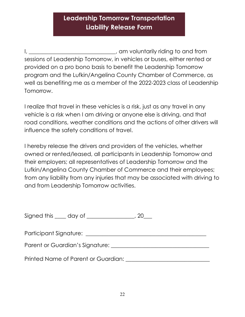# **Leadership Tomorrow Transportation Liability Release Form**

I, \_\_\_\_\_\_\_\_\_\_\_\_\_\_\_\_\_\_\_\_\_\_\_\_\_\_\_\_, am voluntarily riding to and from sessions of Leadership Tomorrow, in vehicles or buses, either rented or provided on a pro bono basis to benefit the Leadership Tomorrow program and the Lufkin/Angelina County Chamber of Commerce, as well as benefiting me as a member of the 2022-2023 class of Leadership Tomorrow.

I realize that travel in these vehicles is a risk, just as any travel in any vehicle is a risk when I am driving or anyone else is driving, and that road conditions, weather conditions and the actions of other drivers will influence the safety conditions of travel.

I hereby release the drivers and providers of the vehicles, whether owned or rented/leased, all participants in Leadership Tomorrow and their employers; all representatives of Leadership Tomorrow and the Lufkin/Angelina County Chamber of Commerce and their employees; from any liability from any injuries that may be associated with driving to and from Leadership Tomorrow activities.

| Signed this | day of |  |
|-------------|--------|--|
|             |        |  |

Participant Signature: \_\_\_\_\_\_\_\_\_\_\_\_\_\_\_\_\_\_\_\_\_\_\_\_\_\_\_\_\_\_\_\_\_\_\_\_\_\_\_\_\_\_\_

Parent or Guardian's Signature: \_\_\_\_\_\_\_\_\_\_\_\_\_\_\_\_\_\_\_\_\_\_\_\_\_\_\_\_\_\_\_\_\_\_\_

Printed Name of Parent or Guardian: **Example 2018**